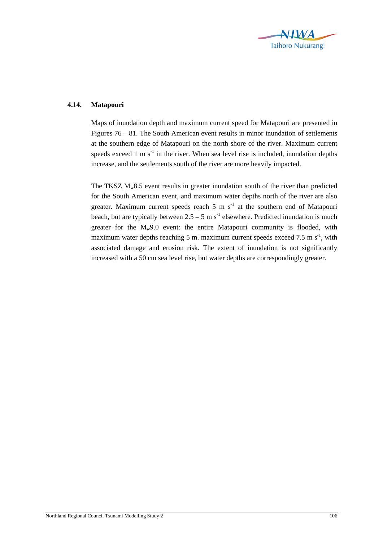

## **4.14. Matapouri**

Maps of inundation depth and maximum current speed for Matapouri are presented in Figures 76 – 81. The South American event results in minor inundation of settlements at the southern edge of Matapouri on the north shore of the river. Maximum current speeds exceed 1 m  $s^{-1}$  in the river. When sea level rise is included, inundation depths increase, and the settlements south of the river are more heavily impacted.

The TKSZ  $M_w8.5$  event results in greater inundation south of the river than predicted for the South American event, and maximum water depths north of the river are also greater. Maximum current speeds reach  $5 \text{ m s}^{-1}$  at the southern end of Matapouri beach, but are typically between  $2.5 - 5$  m s<sup>-1</sup> elsewhere. Predicted inundation is much greater for the  $M_w9.0$  event: the entire Matapouri community is flooded, with maximum water depths reaching 5 m. maximum current speeds exceed 7.5 m  $s^{-1}$ , with associated damage and erosion risk. The extent of inundation is not significantly increased with a 50 cm sea level rise, but water depths are correspondingly greater.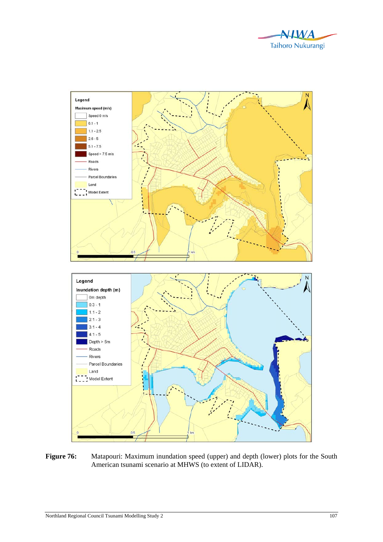



Figure 76: Matapouri: Maximum inundation speed (upper) and depth (lower) plots for the South American tsunami scenario at MHWS (to extent of LIDAR).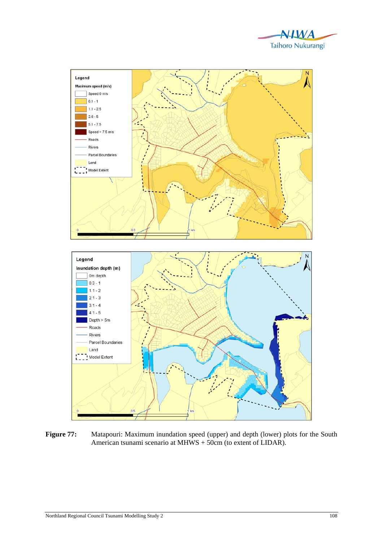



Figure 77: Matapouri: Maximum inundation speed (upper) and depth (lower) plots for the South American tsunami scenario at MHWS + 50cm (to extent of LIDAR).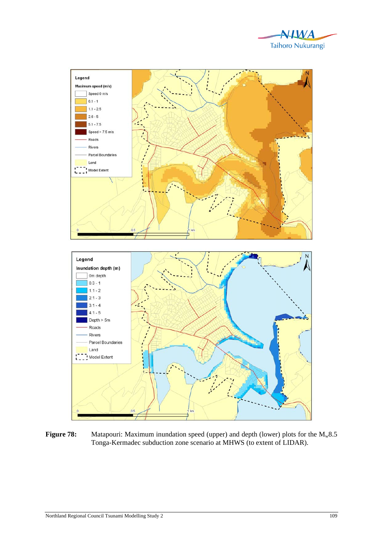



**Figure 78:** Matapouri: Maximum inundation speed (upper) and depth (lower) plots for the M<sub>w</sub>8.5 Tonga-Kermadec subduction zone scenario at MHWS (to extent of LIDAR).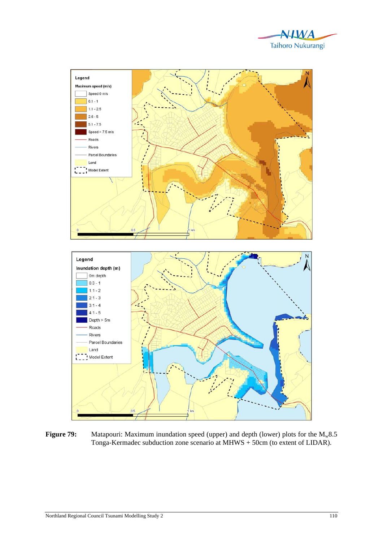



**Figure 79:** Matapouri: Maximum inundation speed (upper) and depth (lower) plots for the M<sub>w</sub>8.5 Tonga-Kermadec subduction zone scenario at MHWS + 50cm (to extent of LIDAR).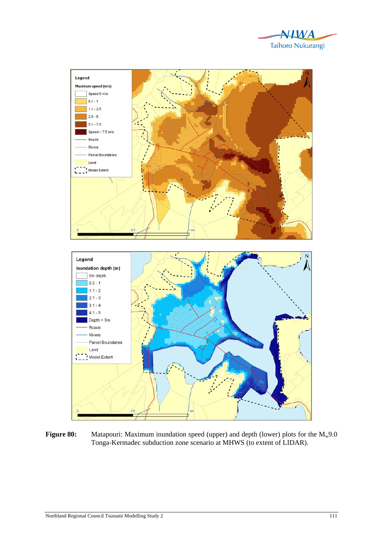



**Figure 80:** Matapouri: Maximum inundation speed (upper) and depth (lower) plots for the M<sub>w</sub>9.0 Tonga-Kermadec subduction zone scenario at MHWS (to extent of LIDAR).